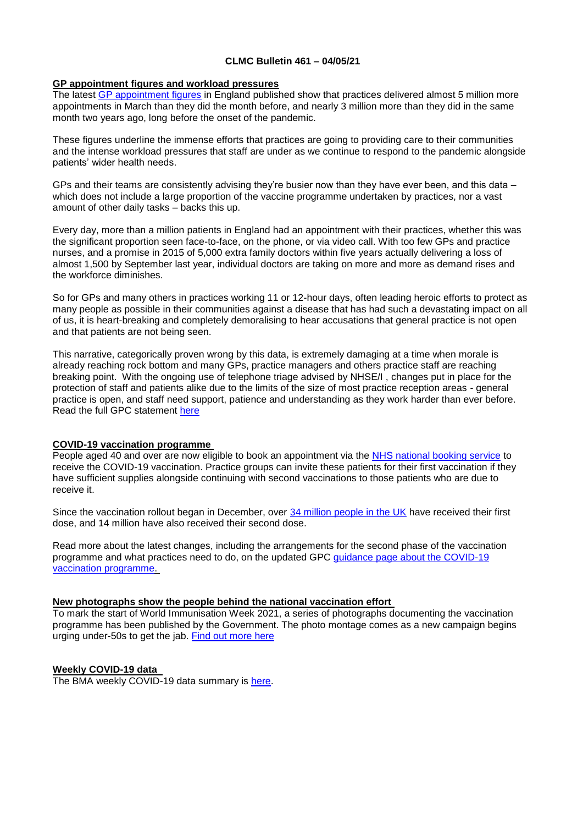#### **CLMC Bulletin 461 – 04/05/21**

#### **GP appointment figures and workload pressures**

The latest [GP appointment figures](https://digital.nhs.uk/data-and-information/publications/statistical/appointments-in-general-practice/march-2021) in England published show that practices delivered almost 5 million more appointments in March than they did the month before, and nearly 3 million more than they did in the same month two years ago, long before the onset of the pandemic.

These figures underline the immense efforts that practices are going to providing care to their communities and the intense workload pressures that staff are under as we continue to respond to the pandemic alongside patients' wider health needs.

GPs and their teams are consistently advising they're busier now than they have ever been, and this data – which does not include a large proportion of the vaccine programme undertaken by practices, nor a vast amount of other daily tasks – backs this up.

Every day, more than a million patients in England had an appointment with their practices, whether this was the significant proportion seen face-to-face, on the phone, or via video call. With too few GPs and practice nurses, and a promise in 2015 of 5,000 extra family doctors within five years actually delivering a loss of almost 1,500 by September last year, individual doctors are taking on more and more as demand rises and the workforce diminishes.

So for GPs and many others in practices working 11 or 12-hour days, often leading heroic efforts to protect as many people as possible in their communities against a disease that has had such a devastating impact on all of us, it is heart-breaking and completely demoralising to hear accusations that general practice is not open and that patients are not being seen.

This narrative, categorically proven wrong by this data, is extremely damaging at a time when morale is already reaching rock bottom and many GPs, practice managers and others practice staff are reaching breaking point. With the ongoing use of telephone triage advised by NHSE/I , changes put in place for the protection of staff and patients alike due to the limits of the size of most practice reception areas - general practice is open, and staff need support, patience and understanding as they work harder than ever before. Read the full GPC statement [here](https://www.bma.org.uk/bma-media-centre/gp-appointment-data-shows-practices-are-busier-than-they-ve-ever-been-says-bma)

# **COVID-19 vaccination programme**

People aged 40 and over are now eligible to book an appointment via the [NHS national booking service](https://bma-mail.org.uk/t/JVX-7BUOO-ZIK0ZJ-4ERRIE-1/c.aspx) to receive the COVID-19 vaccination. Practice groups can invite these patients for their first vaccination if they have sufficient supplies alongside continuing with second vaccinations to those patients who are due to receive it.

Since the vaccination rollout began in December, over [34 million people in the UK](https://coronavirus.data.gov.uk/details/vaccinations) have received their first dose, and 14 million have also received their second dose.

Read more about the latest changes, including the arrangements for the second phase of the vaccination programme and what practices need to do, on the updated GPC [guidance page about the COVID-19](https://www.bma.org.uk/advice-and-support/covid-19/gp-practices/covid-19-vaccination-programme)  [vaccination programme.](https://www.bma.org.uk/advice-and-support/covid-19/gp-practices/covid-19-vaccination-programme)

# **New photographs show the people behind the national vaccination effort**

To mark the start of World Immunisation Week 2021, a series of photographs documenting the vaccination programme has been published by the Government. The photo montage comes as a new campaign begins urging under-50s to get the jab. [Find out more here](https://www.youtube.com/watch?v=gTqh8K2Ux4c)

# **Weekly COVID-19 data**

The BMA weekly COVID-19 data summary is [here.](https://www.clevelandlmc.org.uk/website/IGP367/files/Weekly%20Covid-19%20data%20update%20-%2030%20april.pptx)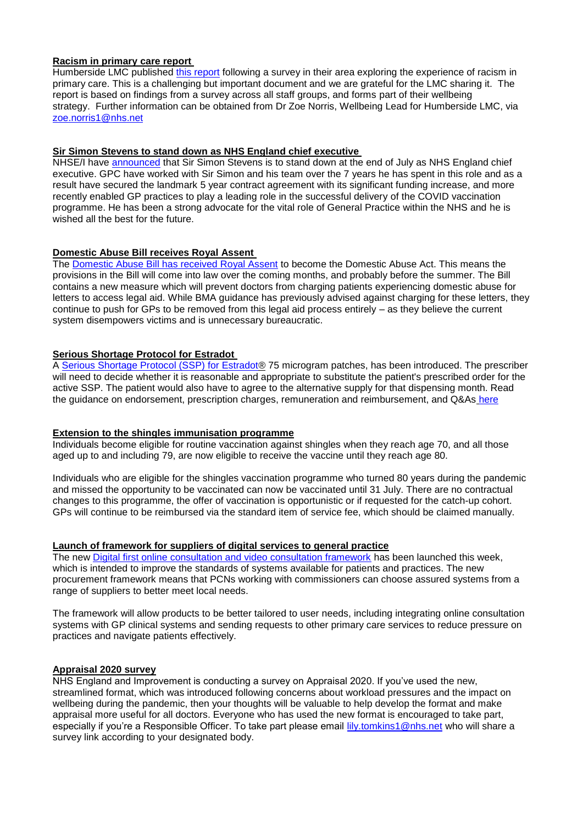#### **Racism in primary care report**

Humberside LMC published this [report](https://www.clevelandlmc.org.uk/website/IGP367/files/racidsm.pdf) following a survey in their area exploring the experience of racism in primary care. This is a challenging but important document and we are grateful for the LMC sharing it. The report is based on findings from a survey across all staff groups, and forms part of their wellbeing strategy. Further information can be obtained from Dr Zoe Norris, Wellbeing Lead for Humberside LMC, via [zoe.norris1@nhs.net](mailto:zoe.norris1@nhs.net)

#### **Sir Simon Stevens to stand down as NHS England chief executive**

NHSE/I have [announced](https://www.england.nhs.uk/2021/04/nhs-chief-sir-simon-stevens-to-stand-down-this-summer/) that Sir Simon Stevens is to stand down at the end of July as NHS England chief executive. GPC have worked with Sir Simon and his team over the 7 years he has spent in this role and as a result have secured the landmark 5 year contract agreement with its significant funding increase, and more recently enabled GP practices to play a leading role in the successful delivery of the COVID vaccination programme. He has been a strong advocate for the vital role of General Practice within the NHS and he is wished all the best for the future.

# **Domestic Abuse Bill receives Royal Assent**

The [Domestic Abuse Bill has received](https://www.gov.uk/government/news/more-support-for-domestic-abuse-victims-and-their-children-as-domestic-abuse-bill-receives-royal-assent) Royal Assent to become the Domestic Abuse Act. This means the provisions in the Bill will come into law over the coming months, and probably before the summer. The Bill contains a new measure which will prevent doctors from charging patients experiencing domestic abuse for letters to access legal aid. While BMA guidance has previously advised against charging for these letters, they continue to push for GPs to be removed from this legal aid process entirely – as they believe the current system disempowers victims and is unnecessary bureaucratic.

# **Serious Shortage Protocol for Estradot**

A [Serious Shortage Protocol \(SSP\) for Estradot®](https://www.nhsbsa.nhs.uk/pharmacies-gp-practices-and-appliance-contractors/serious-shortage-protocols-ssps) 75 microgram patches, has been introduced. The prescriber will need to decide whether it is reasonable and appropriate to substitute the patient's prescribed order for the active SSP. The patient would also have to agree to the alternative supply for that dispensing month. Read the guidance on endorsement, prescription charges, remuneration and reimbursement, and Q&As [here](https://www.nhsbsa.nhs.uk/sites/default/files/2021-04/SSP012%20Supporting%20endorsement%20guidance%20Estradot%2075mcg%20patches.pdf)

# **Extension to the shingles immunisation programme**

Individuals become eligible for routine vaccination against shingles when they reach age 70, and all those aged up to and including 79, are now eligible to receive the vaccine until they reach age 80.

Individuals who are eligible for the shingles vaccination programme who turned 80 years during the pandemic and missed the opportunity to be vaccinated can now be vaccinated until 31 July. There are no contractual changes to this programme, the offer of vaccination is opportunistic or if requested for the catch-up cohort. GPs will continue to be reimbursed via the standard item of service fee, which should be claimed manually.

# **Launch of framework for suppliers of digital services to general practice**

The new [Digital first online consultation and video consultation framework](https://www.england.nhs.uk/gp/digital-first-primary-care/procurement/) has been launched this week, which is intended to improve the standards of systems available for patients and practices. The new procurement framework means that PCNs working with commissioners can choose assured systems from a range of suppliers to better meet local needs.

The framework will allow products to be better tailored to user needs, including integrating online consultation systems with GP clinical systems and sending requests to other primary care services to reduce pressure on practices and navigate patients effectively.

#### **Appraisal 2020 survey**

NHS England and Improvement is conducting a survey on Appraisal 2020. If you've used the new, streamlined format, which was introduced following concerns about workload pressures and the impact on wellbeing during the pandemic, then your thoughts will be valuable to help develop the format and make appraisal more useful for all doctors. Everyone who has used the new format is encouraged to take part, especially if you're a Responsible Officer. To take part please email [lily.tomkins1@nhs.net](mailto:lily.tomkins1@nhs.net) who will share a survey link according to your designated body.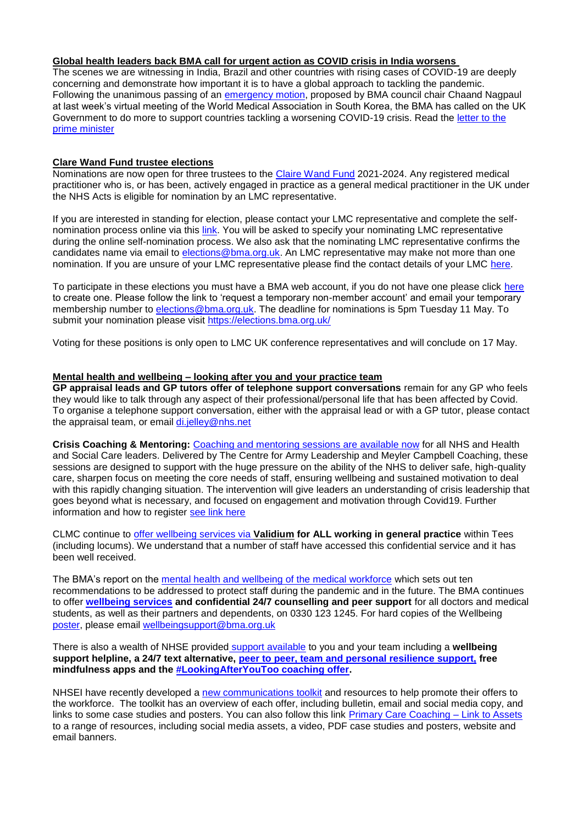# **Global health leaders back BMA call for urgent action as COVID crisis in India worsens**

The scenes we are witnessing in India, Brazil and other countries with rising cases of COVID-19 are deeply concerning and demonstrate how important it is to have a global approach to tackling the pandemic. Following the unanimous passing of an [emergency motion,](https://www.bma.org.uk/bma-media-centre/world-leaders-unanimously-back-bma-s-call-for-urgent-action-as-global-covid-19-crisis-worsens) proposed by BMA council chair Chaand Nagpaul at last week's virtual meeting of the World Medical Association in South Korea, the BMA has called on the UK Government to do more to support countries tackling a worsening COVID-19 crisis. Read the [letter to the](https://www.bma.org.uk/media/4044/bma-letter-to-pm-uk-support-for-countries-experiencing-worsening-covid-19-crisis.pdf)  [prime minister](https://www.bma.org.uk/media/4044/bma-letter-to-pm-uk-support-for-countries-experiencing-worsening-covid-19-crisis.pdf)

#### **Clare Wand Fund trustee elections**

Nominations are now open for three trustees to the [Claire Wand Fund](https://www.clairewand.org/) 2021-2024. Any registered medical practitioner who is, or has been, actively engaged in practice as a general medical practitioner in the UK under the NHS Acts is eligible for nomination by an LMC representative.

If you are interested in standing for election, please contact your LMC representative and complete the selfnomination process online via this [link.](https://protect-eu.mimecast.com/s/eHoKCnO11hlJjyf2kXSW?domain=elections.bma.org.uk) You will be asked to specify your nominating LMC representative during the online self-nomination process. We also ask that the nominating LMC representative confirms the candidates name via email to [elections@bma.org.uk.](mailto:elections@bma.org.uk) An LMC representative may make not more than one nomination. If you are unsure of your LMC representative please find the contact details of your LMC [here.](https://www.bma.org.uk/what-we-do/local-medical-committees)

To participate in these elections you must have a BMA web account, if you do not have one please click [here](https://www.bma.org.uk/what-we-do/committees/committee-information/committee-elections) to create one. Please follow the link to 'request a temporary non-member account' and email your temporary membership number to [elections@bma.org.uk.](mailto:elections@bma.org.uk) The deadline for nominations is 5pm Tuesday 11 May. To submit your nomination please visit [https://elections.bma.org.uk/](https://protect-eu.mimecast.com/s/eHoKCnO11hlJjyf2kXSW?domain=elections.bma.org.uk)

Voting for these positions is only open to LMC UK conference representatives and will conclude on 17 May.

#### **Mental health and wellbeing – looking after you and your practice team**

**GP appraisal leads and GP tutors offer of telephone support conversations** remain for any GP who feels they would like to talk through any aspect of their professional/personal life that has been affected by Covid. To organise a telephone support conversation, either with the appraisal lead or with a GP tutor, please contact the appraisal team, or email [di.jelley@nhs.net](mailto:di.jelley@nhs.net)

**Crisis Coaching & Mentoring:** [Coaching and mentoring sessions are available now](https://nhs.us5.list-manage.com/track/click?u=2bb00c8eecef5a74724810a2d&id=5697e08ec5&e=1f76f620d3) for all NHS and Health and Social Care leaders. Delivered by The Centre for Army Leadership and Meyler Campbell Coaching, these sessions are designed to support with the huge pressure on the ability of the NHS to deliver safe, high-quality care, sharpen focus on meeting the core needs of staff, ensuring wellbeing and sustained motivation to deal with this rapidly changing situation. The intervention will give leaders an understanding of crisis leadership that goes beyond what is necessary, and focused on engagement and motivation through Covid19. Further information and how to register [see link here](https://people.nhs.uk/support-for-leaders/coaching-and-mentoring-for-leaders/)

CLMC continue to [offer wellbeing services via](https://www.clevelandlmc.org.uk/page1.aspx?p=20&t=2) **Validium for ALL working in general practice** within Tees (including locums). We understand that a number of staff have accessed this confidential service and it has been well received.

The BMA's report on the [mental health and wellbeing of the medical workforce](https://www.bma.org.uk/advice-and-support/nhs-delivery-and-workforce/mental-health-of-doctors-and-medical-students/improving-the-mental-wellbeing-of-doctors-and-medical-students) which sets out ten recommendations to be addressed to protect staff during the pandemic and in the future. The BMA continues to offer **[wellbeing services](https://www.bma.org.uk/advice-and-support/your-wellbeing#wellbeing-support-services) and confidential 24/7 counselling and peer support** for all doctors and medical students, as well as their partners and dependents, on 0330 123 1245. For hard copies of the Wellbeing [poster,](https://www.bma.org.uk/media/2217/bma-wellbeing-covid-19-poster.pdf) please email [wellbeingsupport@bma.org.uk](mailto:wellbeingsupport@bma.org.uk)

There is also a wealth of NHSE provided [support available](https://people.nhs.uk/help/) to you and your team including a **wellbeing support helpline, a 24/7 text alternative, [peer to peer, team and personal resilience support,](https://people.nhs.uk/all-guides/) free mindfulness apps and the [#LookingAfterYouToo coaching offer.](https://people.nhs.uk/lookingafteryoutoo/)**

NHSEI have recently developed a [new communications toolkit](https://www.clevelandlmc.org.uk/website/IGP367/files/looking.pdf) and resources to help promote their offers to the workforce. The toolkit has an overview of each offer, including bulletin, email and social media copy, and links to some case studies and posters. You can also follow this link [Primary Care Coaching –](https://drive.google.com/file/d/1K6XIsYTDuQDLymBcUUcc0u7X0iQfd4kO/view?usp=sharing) Link to Assets to a range of resources, including social media assets, a video, PDF case studies and posters, website and email banners.